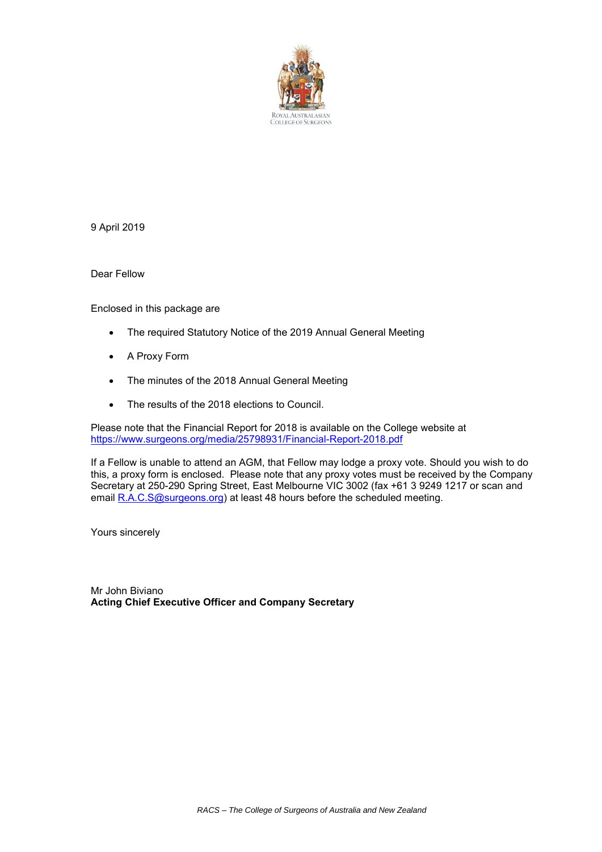

9 April 2019

Dear Fellow

Enclosed in this package are

- The required Statutory Notice of the 2019 Annual General Meeting
- A Proxy Form
- The minutes of the 2018 Annual General Meeting
- The results of the 2018 elections to Council.

Please note that the Financial Report for 2018 is available on the College website at <https://www.surgeons.org/media/25798931/Financial-Report-2018.pdf>

If a Fellow is unable to attend an AGM, that Fellow may lodge a proxy vote. Should you wish to do this, a proxy form is enclosed. Please note that any proxy votes must be received by the Company Secretary at 250-290 Spring Street, East Melbourne VIC 3002 (fax +61 3 9249 1217 or scan and email [R.A.C.S@surgeons.org\)](mailto:R.A.C.S@surgeons.org) at least 48 hours before the scheduled meeting.

Yours sincerely

Mr John Biviano **Acting Chief Executive Officer and Company Secretary**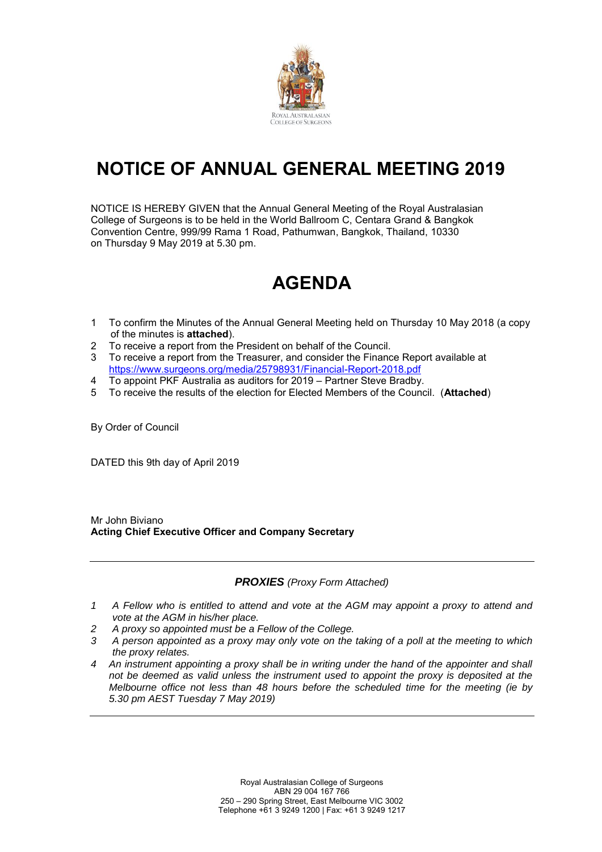

# **NOTICE OF ANNUAL GENERAL MEETING 2019**

NOTICE IS HEREBY GIVEN that the Annual General Meeting of the Royal Australasian College of Surgeons is to be held in the World Ballroom C, Centara Grand & Bangkok Convention Centre, 999/99 Rama 1 Road, Pathumwan, Bangkok, Thailand, 10330 on Thursday 9 May 2019 at 5.30 pm.

# **AGENDA**

- 1 To confirm the Minutes of the Annual General Meeting held on Thursday 10 May 2018 (a copy of the minutes is **attached**).
- 2 To receive a report from the President on behalf of the Council.<br>3 To receive a report from the Treasurer and consider the Financ
- 3 To receive a report from the Treasurer, and consider the Finance Report available at <https://www.surgeons.org/media/25798931/Financial-Report-2018.pdf>
- 4 To appoint PKF Australia as auditors for 2019 Partner Steve Bradby.
- 5 To receive the results of the election for Elected Members of the Council. (**Attached**)

By Order of Council

DATED this 9th day of April 2019

Mr John Biviano **Acting Chief Executive Officer and Company Secretary**

# *PROXIES (Proxy Form Attached)*

- *1 A Fellow who is entitled to attend and vote at the AGM may appoint a proxy to attend and vote at the AGM in his/her place.*
- *2 A proxy so appointed must be a Fellow of the College.*
- *3 A person appointed as a proxy may only vote on the taking of a poll at the meeting to which the proxy relates.*
- *4 An instrument appointing a proxy shall be in writing under the hand of the appointer and shall not be deemed as valid unless the instrument used to appoint the proxy is deposited at the Melbourne office not less than 48 hours before the scheduled time for the meeting (ie by 5.30 pm AEST Tuesday 7 May 2019)*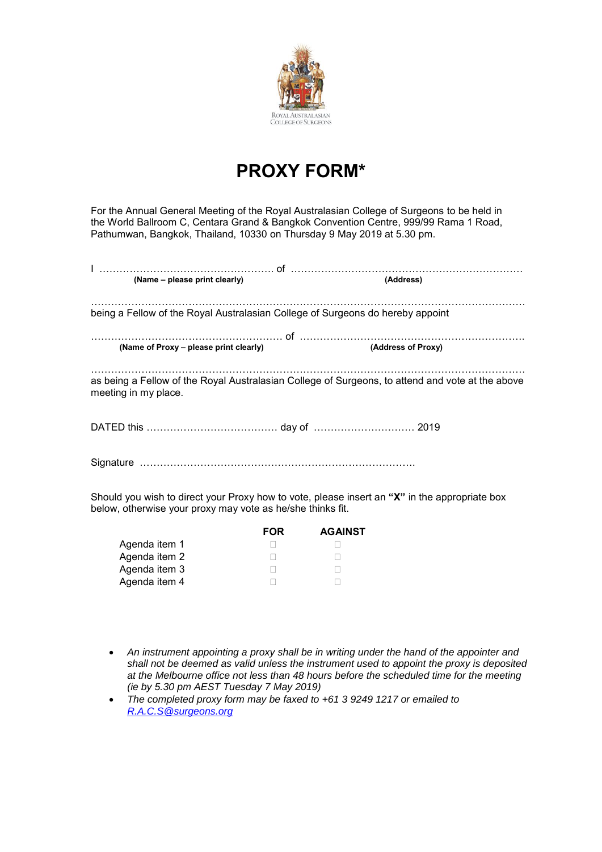

# **PROXY FORM\***

For the Annual General Meeting of the Royal Australasian College of Surgeons to be held in the World Ballroom C, Centara Grand & Bangkok Convention Centre, 999/99 Rama 1 Road, Pathumwan, Bangkok, Thailand, 10330 on Thursday 9 May 2019 at 5.30 pm.

| (Name – please print clearly)                                                                                                                                                                                                        | (Address)          |
|--------------------------------------------------------------------------------------------------------------------------------------------------------------------------------------------------------------------------------------|--------------------|
| being a Fellow of the Royal Australasian College of Surgeons do hereby appoint                                                                                                                                                       |                    |
| (Name of Proxy - please print clearly)                                                                                                                                                                                               | (Address of Proxy) |
| as being a Fellow of the Royal Australasian College of Surgeons, to attend and vote at the above<br>meeting in my place.                                                                                                             |                    |
|                                                                                                                                                                                                                                      |                    |
|                                                                                                                                                                                                                                      |                    |
| <u>Article and the second construction of the second construction of the second construction of the second construction of the second construction of the second construction of the second construction of the second construct</u> |                    |

Should you wish to direct your Proxy how to vote, please insert an **"X"** in the appropriate box below, otherwise your proxy may vote as he/she thinks fit.

|               | <b>FOR</b> | <b>AGAINST</b> |
|---------------|------------|----------------|
| Agenda item 1 |            |                |
| Agenda item 2 |            |                |
| Agenda item 3 |            |                |
| Agenda item 4 |            |                |

- *An instrument appointing a proxy shall be in writing under the hand of the appointer and shall not be deemed as valid unless the instrument used to appoint the proxy is deposited at the Melbourne office not less than 48 hours before the scheduled time for the meeting (ie by 5.30 pm AEST Tuesday 7 May 2019)*
- *The completed proxy form may be faxed to +61 3 9249 1217 or emailed to [R.A.C.S@surgeons.org](mailto:R.A.C.S@surgeons.org)*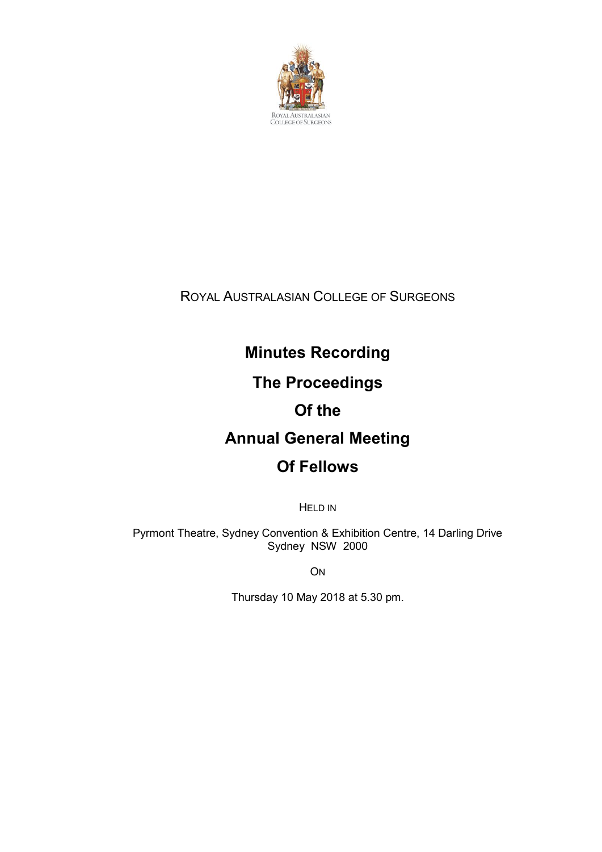

ROYAL AUSTRALASIAN COLLEGE OF SURGEONS

# **Minutes Recording**

# **The Proceedings**

# **Of the**

# **Annual General Meeting**

# **Of Fellows**

HELD IN

Pyrmont Theatre, Sydney Convention & Exhibition Centre, 14 Darling Drive Sydney NSW 2000

**ON** 

Thursday 10 May 2018 at 5.30 pm.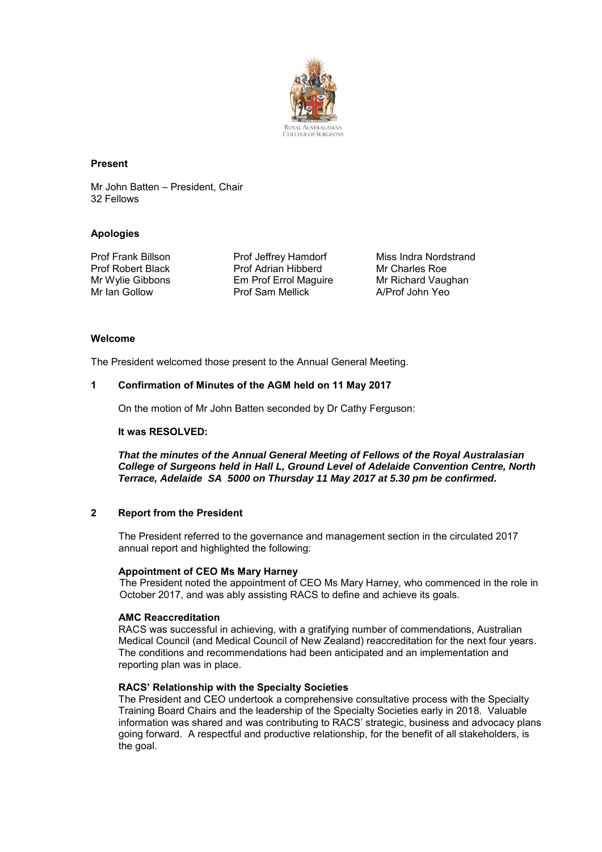

#### **Present**

Mr John Batten – President, Chair 32 Fellows

#### **Apologies**

Prof Frank Billson Prof Robert Black Mr Wylie Gibbons Mr Ian Gollow

Prof Jeffrey Hamdorf Prof Adrian Hibberd Em Prof Errol Maguire Prof Sam Mellick

Miss Indra Nordstrand Mr Charles Roe Mr Richard Vaughan A/Prof John Yeo

#### **Welcome**

The President welcomed those present to the Annual General Meeting.

#### **1 Confirmation of Minutes of the AGM held on 11 May 2017**

On the motion of Mr John Batten seconded by Dr Cathy Ferguson:

#### **It was RESOLVED:**

*That the minutes of the Annual General Meeting of Fellows of the Royal Australasian College of Surgeons held in Hall L, Ground Level of Adelaide Convention Centre, North Terrace, Adelaide SA 5000 on Thursday 11 May 2017 at 5.30 pm be confirmed.*

# **2 Report from the President**

The President referred to the governance and management section in the circulated 2017 annual report and highlighted the following:

# **Appointment of CEO Ms Mary Harney**

The President noted the appointment of CEO Ms Mary Harney, who commenced in the role in October 2017, and was ably assisting RACS to define and achieve its goals.

#### **AMC Reaccreditation**

RACS was successful in achieving, with a gratifying number of commendations, Australian Medical Council (and Medical Council of New Zealand) reaccreditation for the next four years. The conditions and recommendations had been anticipated and an implementation and reporting plan was in place.

#### **RACS' Relationship with the Specialty Societies**

The President and CEO undertook a comprehensive consultative process with the Specialty Training Board Chairs and the leadership of the Specialty Societies early in 2018. Valuable information was shared and was contributing to RACS' strategic, business and advocacy plans going forward. A respectful and productive relationship, for the benefit of all stakeholders, is the goal.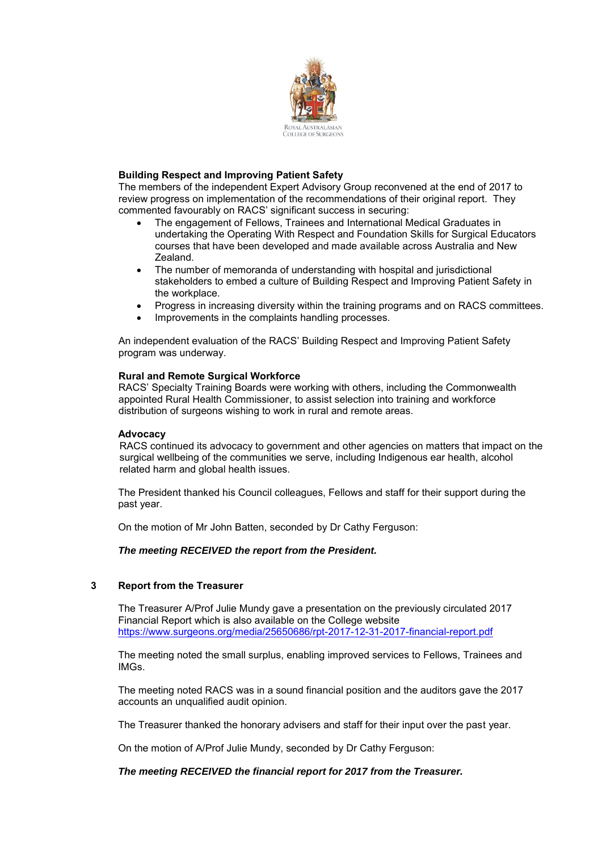

# **Building Respect and Improving Patient Safety**

The members of the independent Expert Advisory Group reconvened at the end of 2017 to review progress on implementation of the recommendations of their original report. They commented favourably on RACS' significant success in securing:

- The engagement of Fellows, Trainees and International Medical Graduates in undertaking the Operating With Respect and Foundation Skills for Surgical Educators courses that have been developed and made available across Australia and New Zealand.
- The number of memoranda of understanding with hospital and jurisdictional stakeholders to embed a culture of Building Respect and Improving Patient Safety in the workplace.
- Progress in increasing diversity within the training programs and on RACS committees.
- Improvements in the complaints handling processes.

An independent evaluation of the RACS' Building Respect and Improving Patient Safety program was underway.

#### **Rural and Remote Surgical Workforce**

RACS' Specialty Training Boards were working with others, including the Commonwealth appointed Rural Health Commissioner, to assist selection into training and workforce distribution of surgeons wishing to work in rural and remote areas.

#### **Advocacy**

RACS continued its advocacy to government and other agencies on matters that impact on the surgical wellbeing of the communities we serve, including Indigenous ear health, alcohol related harm and global health issues.

The President thanked his Council colleagues, Fellows and staff for their support during the past year.

On the motion of Mr John Batten, seconded by Dr Cathy Ferguson:

*The meeting RECEIVED the report from the President.*

# **3 Report from the Treasurer**

The Treasurer A/Prof Julie Mundy gave a presentation on the previously circulated 2017 Financial Report which is also available on the College website <https://www.surgeons.org/media/25650686/rpt-2017-12-31-2017-financial-report.pdf>

The meeting noted the small surplus, enabling improved services to Fellows, Trainees and IMGs.

The meeting noted RACS was in a sound financial position and the auditors gave the 2017 accounts an unqualified audit opinion.

The Treasurer thanked the honorary advisers and staff for their input over the past year.

On the motion of A/Prof Julie Mundy, seconded by Dr Cathy Ferguson:

# *The meeting RECEIVED the financial report for 2017 from the Treasurer.*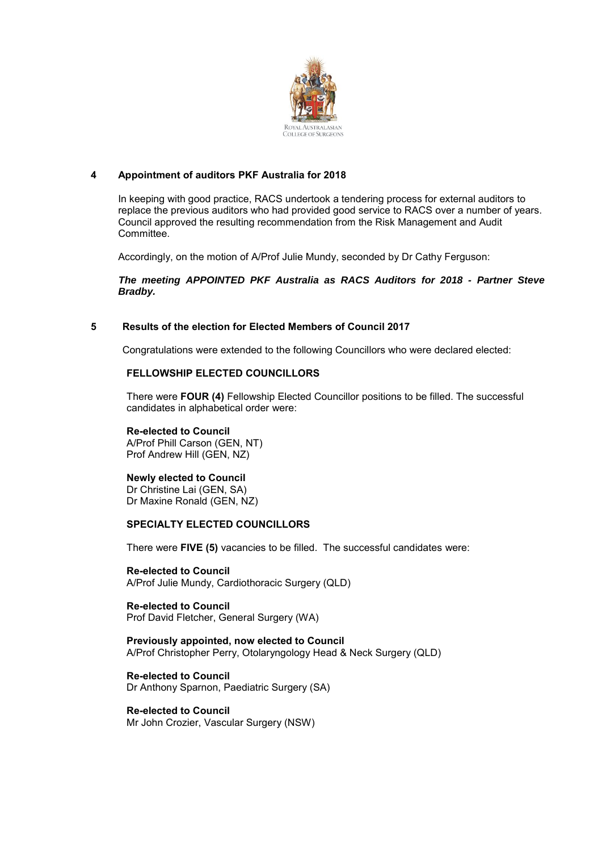

# **4 Appointment of auditors PKF Australia for 2018**

In keeping with good practice, RACS undertook a tendering process for external auditors to replace the previous auditors who had provided good service to RACS over a number of years. Council approved the resulting recommendation from the Risk Management and Audit Committee.

Accordingly, on the motion of A/Prof Julie Mundy, seconded by Dr Cathy Ferguson:

*The meeting APPOINTED PKF Australia as RACS Auditors for 2018 - Partner Steve Bradby.*

# **5 Results of the election for Elected Members of Council 2017**

Congratulations were extended to the following Councillors who were declared elected:

# **FELLOWSHIP ELECTED COUNCILLORS**

There were **FOUR (4)** Fellowship Elected Councillor positions to be filled. The successful candidates in alphabetical order were:

#### **Re-elected to Council**

A/Prof Phill Carson (GEN, NT) Prof Andrew Hill (GEN, NZ)

# **Newly elected to Council**

Dr Christine Lai (GEN, SA) Dr Maxine Ronald (GEN, NZ)

# **SPECIALTY ELECTED COUNCILLORS**

There were **FIVE (5)** vacancies to be filled. The successful candidates were:

**Re-elected to Council** A/Prof Julie Mundy, Cardiothoracic Surgery (QLD)

**Re-elected to Council** Prof David Fletcher, General Surgery (WA)

**Previously appointed, now elected to Council** A/Prof Christopher Perry, Otolaryngology Head & Neck Surgery (QLD)

**Re-elected to Council** Dr Anthony Sparnon, Paediatric Surgery (SA)

**Re-elected to Council** Mr John Crozier, Vascular Surgery (NSW)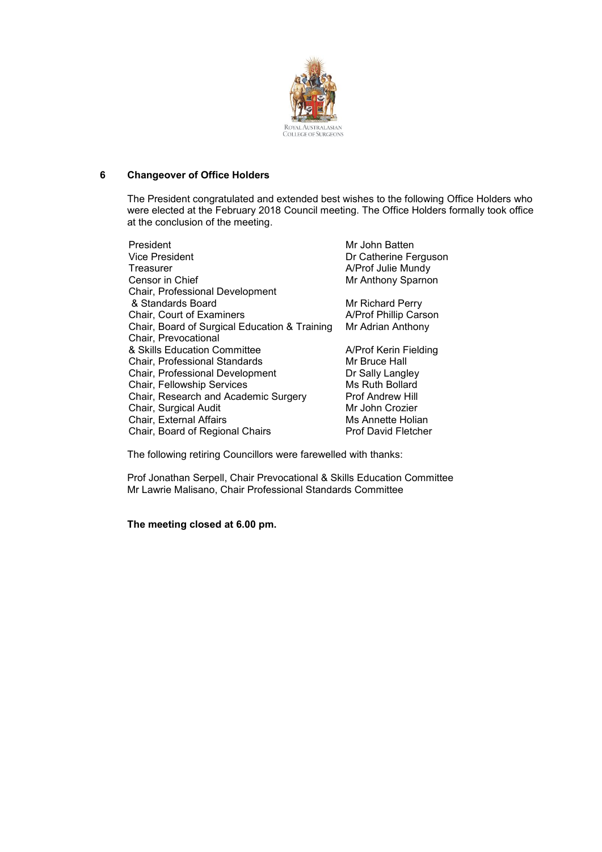

# **6 Changeover of Office Holders**

The President congratulated and extended best wishes to the following Office Holders who were elected at the February 2018 Council meeting. The Office Holders formally took office at the conclusion of the meeting.

| President                                     | Mr John Batten             |
|-----------------------------------------------|----------------------------|
| Vice President                                | Dr Catherine Ferguson      |
| Treasurer                                     | A/Prof Julie Mundy         |
| Censor in Chief                               | Mr Anthony Sparnon         |
| Chair, Professional Development               |                            |
| & Standards Board                             | Mr Richard Perry           |
| Chair, Court of Examiners                     | A/Prof Phillip Carson      |
| Chair, Board of Surgical Education & Training | Mr Adrian Anthony          |
| Chair, Prevocational                          |                            |
| & Skills Education Committee                  | A/Prof Kerin Fielding      |
| Chair, Professional Standards                 | Mr Bruce Hall              |
| Chair, Professional Development               | Dr Sally Langley           |
| Chair, Fellowship Services                    | Ms Ruth Bollard            |
| Chair, Research and Academic Surgery          | <b>Prof Andrew Hill</b>    |
| Chair, Surgical Audit                         | Mr John Crozier            |
| Chair, External Affairs                       | Ms Annette Holian          |
| Chair, Board of Regional Chairs               | <b>Prof David Fletcher</b> |
|                                               |                            |

The following retiring Councillors were farewelled with thanks:

Prof Jonathan Serpell, Chair Prevocational & Skills Education Committee Mr Lawrie Malisano, Chair Professional Standards Committee

**The meeting closed at 6.00 pm.**